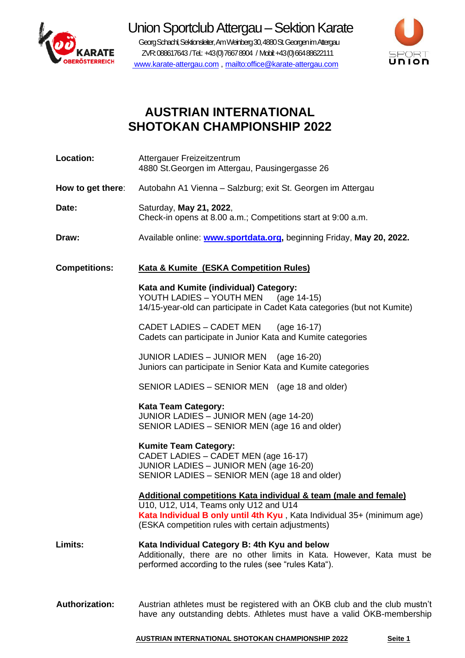

Union Sportclub Attergau - Sektion Karate Georg Schachl, Sektionsleiter, AmWeinberg 30, 4880St. Georgen im Attergau ZVR: 088617643 / Tel.: +43 (0) 7667 8904 / Mobil: +43 (0) 664 88622111

[www.karate-attergau.com](http://www.karate-attergau.com/) ,<mailto:office@karate-attergau.com>



# **AUSTRIAN INTERNATIONAL SHOTOKAN CHAMPIONSHIP 2022**

| <b>Location:</b>      | Attergauer Freizeitzentrum<br>4880 St. Georgen im Attergau, Pausingergasse 26                                                                                                                                                             |
|-----------------------|-------------------------------------------------------------------------------------------------------------------------------------------------------------------------------------------------------------------------------------------|
| How to get there:     | Autobahn A1 Vienna - Salzburg; exit St. Georgen im Attergau                                                                                                                                                                               |
| Date:                 | Saturday, May 21, 2022,<br>Check-in opens at 8.00 a.m.; Competitions start at 9:00 a.m.                                                                                                                                                   |
| Draw:                 | Available online: www.sportdata.org, beginning Friday, May 20, 2022.                                                                                                                                                                      |
| <b>Competitions:</b>  | <b>Kata &amp; Kumite (ESKA Competition Rules)</b>                                                                                                                                                                                         |
|                       | Kata and Kumite (individual) Category:<br>YOUTH LADIES - YOUTH MEN (age 14-15)<br>14/15-year-old can participate in Cadet Kata categories (but not Kumite)                                                                                |
|                       | CADET LADIES - CADET MEN<br>(age 16-17)<br>Cadets can participate in Junior Kata and Kumite categories                                                                                                                                    |
|                       | JUNIOR LADIES - JUNIOR MEN (age 16-20)<br>Juniors can participate in Senior Kata and Kumite categories                                                                                                                                    |
|                       | SENIOR LADIES - SENIOR MEN (age 18 and older)                                                                                                                                                                                             |
|                       | Kata Team Category:<br>JUNIOR LADIES - JUNIOR MEN (age 14-20)<br>SENIOR LADIES - SENIOR MEN (age 16 and older)                                                                                                                            |
|                       | <b>Kumite Team Category:</b><br>CADET LADIES - CADET MEN (age 16-17)<br>JUNIOR LADIES - JUNIOR MEN (age 16-20)<br>SENIOR LADIES - SENIOR MEN (age 18 and older)                                                                           |
|                       | Additional competitions Kata individual & team (male and female)<br>U10, U12, U14, Teams only U12 and U14<br>Kata Individual B only until 4th Kyu, Kata Individual 35+ (minimum age)<br>(ESKA competition rules with certain adjustments) |
| Limits:               | Kata Individual Category B: 4th Kyu and below<br>Additionally, there are no other limits in Kata. However, Kata must be<br>performed according to the rules (see "rules Kata").                                                           |
| <b>Authorization:</b> | Austrian athletes must be registered with an ÖKB club and the club mustn't<br>have any outstanding debts. Athletes must have a valid ÖKB-membership                                                                                       |

**AUSTRIAN INTERNATIONAL SHOTOKAN CHAMPIONSHIP 2022 Seite 1**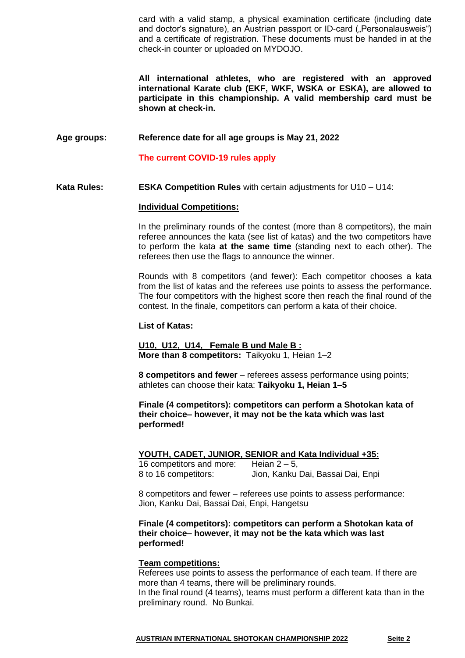card with a valid stamp, a physical examination certificate (including date and doctor's signature), an Austrian passport or ID-card ("Personalausweis") and a certificate of registration. These documents must be handed in at the check-in counter or uploaded on MYDOJO.

**All international athletes, who are registered with an approved international Karate club (EKF, WKF, WSKA or ESKA), are allowed to participate in this championship. A valid membership card must be shown at check-in.**

**Age groups: Reference date for all age groups is May 21, 2022**

**The current COVID-19 rules apply**

**Kata Rules: ESKA Competition Rules** with certain adjustments for U10 – U14:

# **Individual Competitions:**

In the preliminary rounds of the contest (more than 8 competitors), the main referee announces the kata (see list of katas) and the two competitors have to perform the kata **at the same time** (standing next to each other). The referees then use the flags to announce the winner.

Rounds with 8 competitors (and fewer): Each competitor chooses a kata from the list of katas and the referees use points to assess the performance. The four competitors with the highest score then reach the final round of the contest. In the finale, competitors can perform a kata of their choice.

### **List of Katas:**

**U10, U12, U14, Female B und Male B : More than 8 competitors:** Taikyoku 1, Heian 1–2

**8 competitors and fewer** – referees assess performance using points; athletes can choose their kata: **Taikyoku 1, Heian 1–5**

**Finale (4 competitors): competitors can perform a Shotokan kata of their choice– however, it may not be the kata which was last performed!** 

**YOUTH, CADET, JUNIOR, SENIOR and Kata Individual +35:**

16 competitors and more: Heian  $2 - 5$ , 8 to 16 competitors: Jion, Kanku Dai, Bassai Dai, Enpi

8 competitors and fewer – referees use points to assess performance: Jion, Kanku Dai, Bassai Dai, Enpi, Hangetsu

**Finale (4 competitors): competitors can perform a Shotokan kata of their choice– however, it may not be the kata which was last performed!**

# **Team competitions:**

Referees use points to assess the performance of each team. If there are more than 4 teams, there will be preliminary rounds. In the final round (4 teams), teams must perform a different kata than in the preliminary round. No Bunkai.